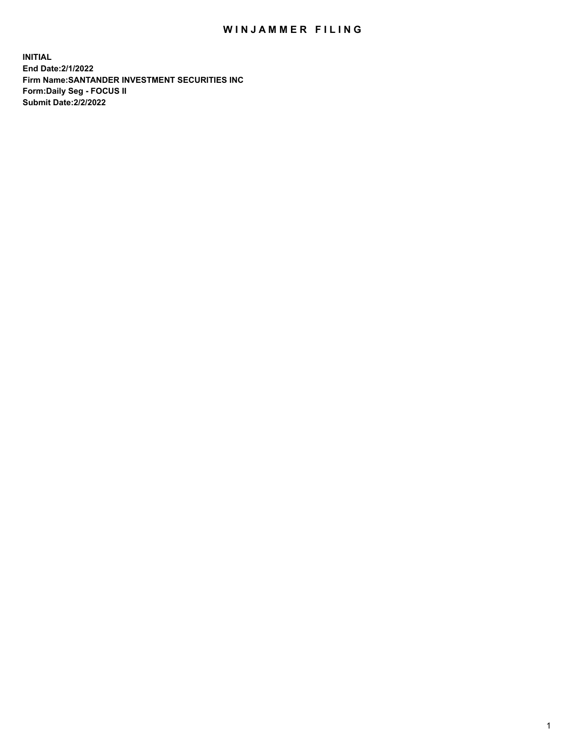## WIN JAMMER FILING

**INITIAL End Date:2/1/2022 Firm Name:SANTANDER INVESTMENT SECURITIES INC Form:Daily Seg - FOCUS II Submit Date:2/2/2022**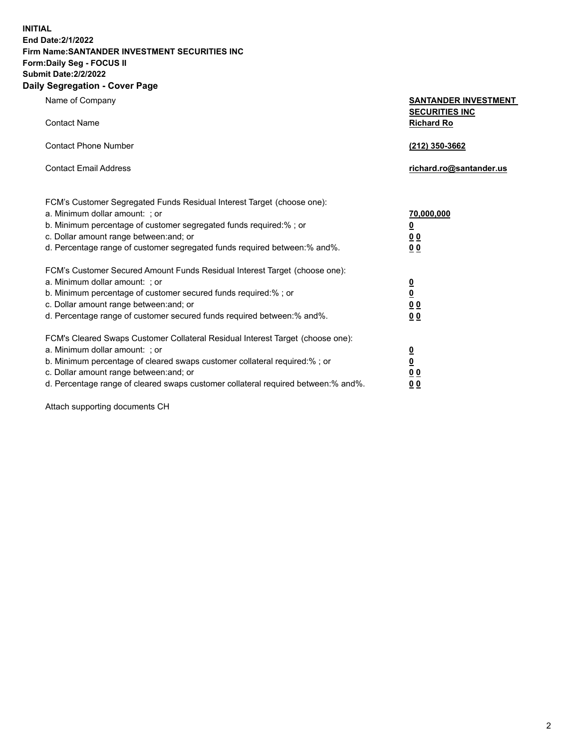**INITIAL End Date:2/1/2022 Firm Name:SANTANDER INVESTMENT SECURITIES INC Form:Daily Seg - FOCUS II Submit Date:2/2/2022 Daily Segregation - Cover Page**

| Name of Company                                                                   | <b>SANTANDER INVESTMENT</b>                |
|-----------------------------------------------------------------------------------|--------------------------------------------|
| <b>Contact Name</b>                                                               | <b>SECURITIES INC</b><br><b>Richard Ro</b> |
| <b>Contact Phone Number</b>                                                       | (212) 350-3662                             |
| <b>Contact Email Address</b>                                                      | richard.ro@santander.us                    |
| FCM's Customer Segregated Funds Residual Interest Target (choose one):            |                                            |
| a. Minimum dollar amount: ; or                                                    | 70,000,000                                 |
| b. Minimum percentage of customer segregated funds required:% ; or                | <u>0</u>                                   |
| c. Dollar amount range between: and; or                                           | 0 <sub>0</sub>                             |
| d. Percentage range of customer segregated funds required between:% and%.         | 0 <sub>0</sub>                             |
| FCM's Customer Secured Amount Funds Residual Interest Target (choose one):        |                                            |
| a. Minimum dollar amount: ; or                                                    | $\frac{0}{0}$                              |
| b. Minimum percentage of customer secured funds required:%; or                    |                                            |
| c. Dollar amount range between: and; or                                           | 0 <sub>0</sub>                             |
| d. Percentage range of customer secured funds required between: % and %.          | 0 <sub>0</sub>                             |
| FCM's Cleared Swaps Customer Collateral Residual Interest Target (choose one):    |                                            |
| a. Minimum dollar amount: ; or                                                    | $\overline{\mathbf{0}}$                    |
| b. Minimum percentage of cleared swaps customer collateral required:%; or         | <u>0</u>                                   |
| c. Dollar amount range between: and; or                                           | 0 <sub>0</sub>                             |
| d. Percentage range of cleared swaps customer collateral required between:% and%. | 00                                         |

Attach supporting documents CH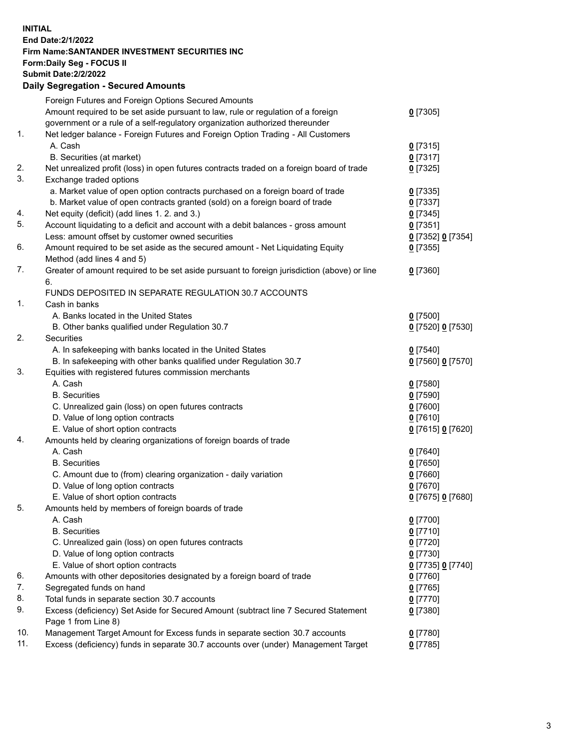## **INITIAL End Date:2/1/2022 Firm Name:SANTANDER INVESTMENT SECURITIES INC Form:Daily Seg - FOCUS II Submit Date:2/2/2022 Daily Segregation - Secured Amounts** Foreign Futures and Foreign Options Secured Amounts Amount required to be set aside pursuant to law, rule or regulation of a foreign government or a rule of a self-regulatory organization authorized thereunder 1. Net ledger balance - Foreign Futures and Foreign Option Trading - All Customers A. Cash **0** [7315] B. Securities (at market) **0** [7317] 2. Net unrealized profit (loss) in open futures contracts traded on a foreign board of trade **0** [7325] 3. Exchange traded options a. Market value of open option contracts purchased on a foreign board of trade **0** [7335] b. Market value of open contracts granted (sold) on a foreign board of trade **0** [7337] 4. Net equity (deficit) (add lines 1. 2. and 3.) **0** [7345] 5. Account liquidating to a deficit and account with a debit balances - gross amount **0** [7351] Less: amount offset by customer owned securities **0** [7352] **0** [7354] 6. Amount required to be set aside as the secured amount - Net Liquidating Equity Method (add lines 4 and 5) 7. Greater of amount required to be set aside pursuant to foreign jurisdiction (above) or line 6. FUNDS DEPOSITED IN SEPARATE REGULATION 30.7 ACCOUNTS 1. Cash in banks

|     | A. Banks located in the United States                                               | $0$ [7500]        |
|-----|-------------------------------------------------------------------------------------|-------------------|
|     | B. Other banks qualified under Regulation 30.7                                      | 0 [7520] 0 [7530] |
| 2.  | Securities                                                                          |                   |
|     | A. In safekeeping with banks located in the United States                           | $0$ [7540]        |
|     | B. In safekeeping with other banks qualified under Regulation 30.7                  | 0 [7560] 0 [7570] |
| 3.  | Equities with registered futures commission merchants                               |                   |
|     | A. Cash                                                                             | $0$ [7580]        |
|     | <b>B.</b> Securities                                                                | <u>0</u> [7590]   |
|     | C. Unrealized gain (loss) on open futures contracts                                 | $0$ [7600]        |
|     | D. Value of long option contracts                                                   | $0$ [7610]        |
|     | E. Value of short option contracts                                                  | 0 [7615] 0 [7620] |
| 4.  | Amounts held by clearing organizations of foreign boards of trade                   |                   |
|     | A. Cash                                                                             | $0$ [7640]        |
|     | <b>B.</b> Securities                                                                | $0$ [7650]        |
|     | C. Amount due to (from) clearing organization - daily variation                     | $0$ [7660]        |
|     | D. Value of long option contracts                                                   | $0$ [7670]        |
|     | E. Value of short option contracts                                                  | 0 [7675] 0 [7680] |
| 5.  | Amounts held by members of foreign boards of trade                                  |                   |
|     | A. Cash                                                                             | $0$ [7700]        |
|     | <b>B.</b> Securities                                                                | $0$ [7710]        |
|     | C. Unrealized gain (loss) on open futures contracts                                 | $0$ [7720]        |
|     | D. Value of long option contracts                                                   | $0$ [7730]        |
|     | E. Value of short option contracts                                                  | 0 [7735] 0 [7740] |
| 6.  | Amounts with other depositories designated by a foreign board of trade              | $0$ [7760]        |
| 7.  | Segregated funds on hand                                                            | 0 [7765]          |
| 8.  | Total funds in separate section 30.7 accounts                                       | 0 [7770]          |
| 9.  | Excess (deficiency) Set Aside for Secured Amount (subtract line 7 Secured Statement | 0 [7380]          |
|     | Page 1 from Line 8)                                                                 |                   |
| 10. | Management Target Amount for Excess funds in separate section 30.7 accounts         | $0$ [7780]        |
| 11. | Excess (deficiency) funds in separate 30.7 accounts over (under) Management Target  | $0$ [7785]        |

**0** [7305]

**0** [7355]

**0** [7360]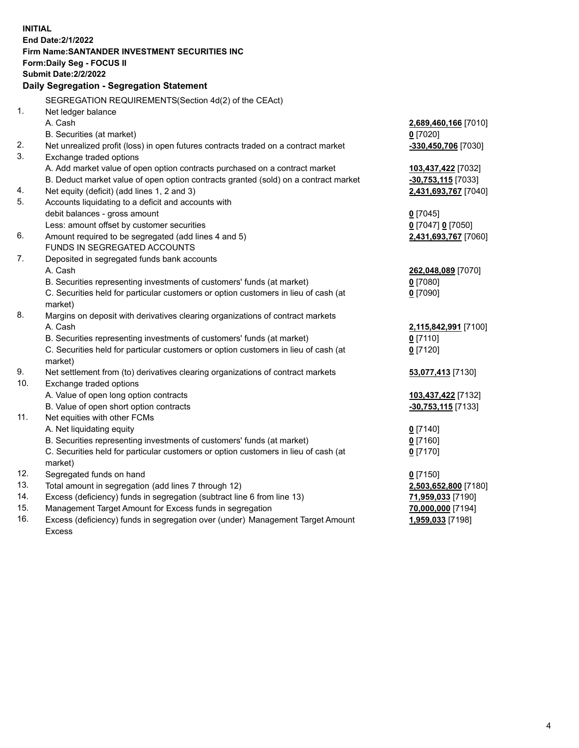| <b>INITIAL</b> | <b>End Date: 2/1/2022</b><br><b>Firm Name: SANTANDER INVESTMENT SECURITIES INC</b><br><b>Form:Daily Seg - FOCUS II</b><br><b>Submit Date: 2/2/2022</b><br>Daily Segregation - Segregation Statement |                       |
|----------------|-----------------------------------------------------------------------------------------------------------------------------------------------------------------------------------------------------|-----------------------|
|                | SEGREGATION REQUIREMENTS(Section 4d(2) of the CEAct)                                                                                                                                                |                       |
| 1 <sub>1</sub> | Net ledger balance                                                                                                                                                                                  |                       |
|                | A. Cash                                                                                                                                                                                             | 2,689,460,166 [7010]  |
|                | B. Securities (at market)                                                                                                                                                                           | $0$ [7020]            |
| 2.             | Net unrealized profit (loss) in open futures contracts traded on a contract market                                                                                                                  | $-330,450,706$ [7030] |
| 3.             | Exchange traded options                                                                                                                                                                             |                       |
|                | A. Add market value of open option contracts purchased on a contract market                                                                                                                         | 103,437,422 [7032]    |
|                | B. Deduct market value of open option contracts granted (sold) on a contract market                                                                                                                 | $-30,753,115$ [7033]  |
| 4.             | Net equity (deficit) (add lines 1, 2 and 3)                                                                                                                                                         | 2,431,693,767 [7040]  |
| 5.             | Accounts liquidating to a deficit and accounts with                                                                                                                                                 |                       |
|                | debit balances - gross amount                                                                                                                                                                       | $0$ [7045]            |
|                | Less: amount offset by customer securities                                                                                                                                                          | 0 [7047] 0 [7050]     |
| 6.             | Amount required to be segregated (add lines 4 and 5)                                                                                                                                                | 2,431,693,767 [7060]  |
|                | FUNDS IN SEGREGATED ACCOUNTS                                                                                                                                                                        |                       |
| 7.             | Deposited in segregated funds bank accounts                                                                                                                                                         |                       |
|                | A. Cash                                                                                                                                                                                             | 262,048,089 [7070]    |
|                | B. Securities representing investments of customers' funds (at market)                                                                                                                              | $0$ [7080]            |
|                | C. Securities held for particular customers or option customers in lieu of cash (at                                                                                                                 | $0$ [7090]            |
| 8.             | market)<br>Margins on deposit with derivatives clearing organizations of contract markets                                                                                                           |                       |
|                | A. Cash                                                                                                                                                                                             | 2,115,842,991 [7100]  |
|                | B. Securities representing investments of customers' funds (at market)                                                                                                                              | $0$ [7110]            |
|                | C. Securities held for particular customers or option customers in lieu of cash (at                                                                                                                 | $0$ [7120]            |
|                | market)                                                                                                                                                                                             |                       |
| 9.             | Net settlement from (to) derivatives clearing organizations of contract markets                                                                                                                     | 53,077,413 [7130]     |
| 10.            | Exchange traded options                                                                                                                                                                             |                       |
|                | A. Value of open long option contracts                                                                                                                                                              | 103,437,422 [7132]    |
|                | B. Value of open short option contracts                                                                                                                                                             | -30,753,115 [7133]    |
| 11.            | Net equities with other FCMs                                                                                                                                                                        |                       |
|                | A. Net liquidating equity                                                                                                                                                                           | $0$ [7140]            |
|                | B. Securities representing investments of customers' funds (at market)                                                                                                                              | $0$ [7160]            |
|                | C. Securities held for particular customers or option customers in lieu of cash (at                                                                                                                 | $0$ [7170]            |
|                | market)                                                                                                                                                                                             |                       |
| 12.            | Segregated funds on hand                                                                                                                                                                            | $0$ [7150]            |
| 13.            | Total amount in segregation (add lines 7 through 12)                                                                                                                                                | 2,503,652,800 [7180]  |
| 14.            | Excess (deficiency) funds in segregation (subtract line 6 from line 13)                                                                                                                             | 71,959,033 [7190]     |
| 15.            | Management Target Amount for Excess funds in segregation                                                                                                                                            | 70,000,000 [7194]     |
| 16.            | Excess (deficiency) funds in segregation over (under) Management Target Amount                                                                                                                      | 1,959,033 [7198]      |
|                | <b>Excess</b>                                                                                                                                                                                       |                       |